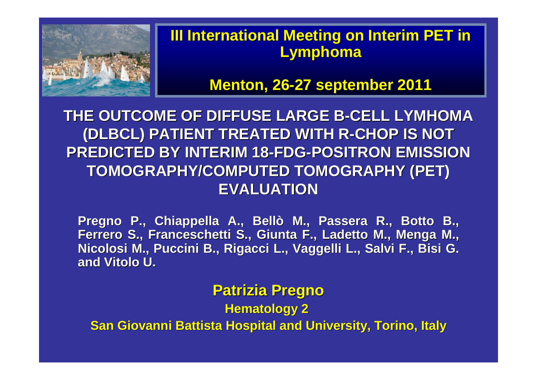

#### **III International Meeting on Interim PET in Lymphoma**

**Menton, 26-27 september 2011**

**THE OUTCOME OF DIFFUSE LARGE B-CELL LYMHOMA (DLBCL) PATIENT TREATED WITH R-CHOP IS NOT PREDICTED BY INTERIM 18-FDG-POSITRON EMISSION TOMOGRAPHY/COMPUTED TOMOGRAPHY (PET) EVALUATION** 

**Pregno P., Chiappella A., Bellò M., Passera R., Botto B., Ferrero S., Franceschetti S., Giunta F., Ladetto M., Menga M., Nicolosi M., Puccini B., Rigacci L., Vaggelli L., Salvi F., Bisi G. and Vitolo U.**

#### **Patrizia Pregno**

**Hematology 2** 

**San Giovanni Battista Hospital and University, Torino, Italy**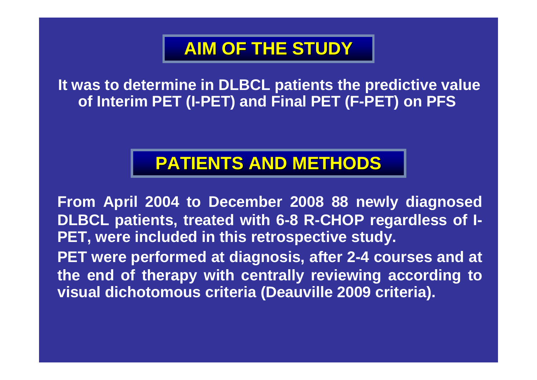## **AIM OF THE STUDY**

**It was to determine in DLBCL patients the predictive value of Interim PET (I-PET) and Final PET (F-PET) on PFS**

### **PATIENTS AND METHODS**

**From April 2004 to December 2008 88 newly diagnosed DLBCL patients, treated with 6-8 R-CHOP regardless of I-PET, were included in this retrospective study.**

**PET were performed at diagnosis, after 2-4 courses and at the end of therapy with centrally reviewing according to visual dichotomous criteria (Deauville 2009 criteria).**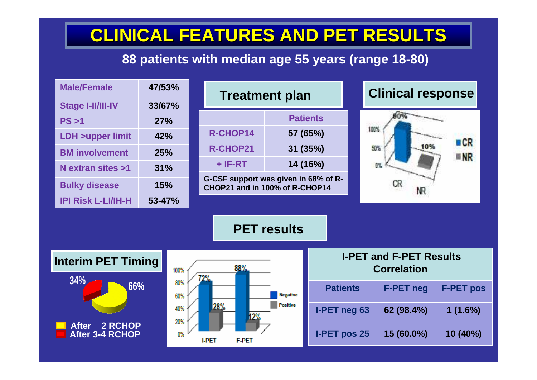# **CLINICAL FEATURES AND PET RESULTS**

#### **88 patients with median age 55 years (range 18-80)**

| <b>Male/Female</b>                                | 47/53% |        |                                                  | <b>Treatment plan</b>                                                  |          |                                                      |            | <b>Clinical response</b> |                  |  |
|---------------------------------------------------|--------|--------|--------------------------------------------------|------------------------------------------------------------------------|----------|------------------------------------------------------|------------|--------------------------|------------------|--|
| <b>Stage I-II/III-IV</b>                          | 33/67% |        |                                                  |                                                                        |          |                                                      |            |                          |                  |  |
| PS > 1                                            | 27%    |        |                                                  |                                                                        |          | <b>Patients</b>                                      |            | 80%                      |                  |  |
| <b>LDH &gt;upper limit</b>                        | 42%    |        |                                                  | R-CHOP14                                                               | 57 (65%) |                                                      | 100%       |                          | <b>BCR</b>       |  |
| <b>BM</b> involvement                             | 25%    |        |                                                  | <b>R-CHOP21</b>                                                        |          | 31 (35%)                                             | 10%<br>50% |                          | <b>ENR</b>       |  |
| N extran sites >1                                 | 31%    |        |                                                  | 14 (16%)<br>$+$ IF-RT                                                  |          |                                                      | B%         |                          |                  |  |
| <b>Bulky disease</b>                              |        | 15%    |                                                  | G-CSF support was given in 68% of R-<br>CHOP21 and in 100% of R-CHOP14 |          |                                                      |            | CR                       |                  |  |
| <b>IPI Risk L-LI/IH-H</b>                         |        | 53-47% |                                                  |                                                                        |          |                                                      |            |                          |                  |  |
| <b>PET results</b>                                |        |        |                                                  |                                                                        |          |                                                      |            |                          |                  |  |
| <b>Interim PET Timing</b><br>100%                 |        |        |                                                  | 88%<br>2%                                                              |          | <b>I-PET and F-PET Results</b><br><b>Correlation</b> |            |                          |                  |  |
| 34%<br>80%<br>66%<br>60%<br>40%                   |        |        | <b>Negative</b><br><b>Positive</b><br>28%<br>19% |                                                                        |          | <b>Patients</b>                                      |            | <b>F-PET neg</b>         | <b>F-PET pos</b> |  |
|                                                   |        | 20%    |                                                  |                                                                        |          | I-PET neg 63                                         |            | 62 (98.4%)               | 1(1.6%)          |  |
| 2 RCHOP<br><b>After</b><br><b>After 3-4 RCHOP</b> |        | 0%     | <b>I-PET</b><br><b>F-PET</b>                     |                                                                        |          | <b>I-PET pos 25</b>                                  |            | 15 (60.0%)               | 10 (40%)         |  |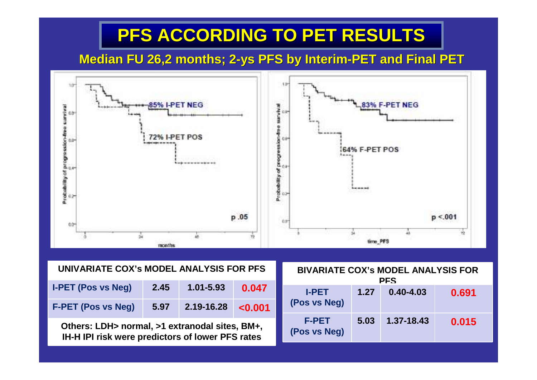## **PFS ACCORDING TO PET RESULTS**

#### **Median FU 26,2 months; 2-ys PFS by Interim-PET and Final PET**



| UNIVARIATE COX's MODEL ANALYSIS FOR PFS |      |            |             |  |  |  |
|-----------------------------------------|------|------------|-------------|--|--|--|
| <b>I-PET (Pos vs Neg)</b>               | 2.45 | 1.01-5.93  | 0.047       |  |  |  |
| <b>F-PET (Pos vs Neg)</b>               | 5.97 | 2.19-16.28 | $\le 0.001$ |  |  |  |

**Others: LDH> normal, >1 extranodal sites, BM+,IH-H IPI risk were predictors of lower PFS rates**

| <b>BIVARIATE COX's MODEL ANALYSIS FOR</b><br><b>PFS</b> |      |               |       |  |  |  |
|---------------------------------------------------------|------|---------------|-------|--|--|--|
| <b>I-PET</b><br>(Pos vs Neg)                            | 1.27 | $0.40 - 4.03$ | 0.691 |  |  |  |
| <b>F-PET</b><br>(Pos vs Neg)                            | 5.03 | 1.37-18.43    | 0.015 |  |  |  |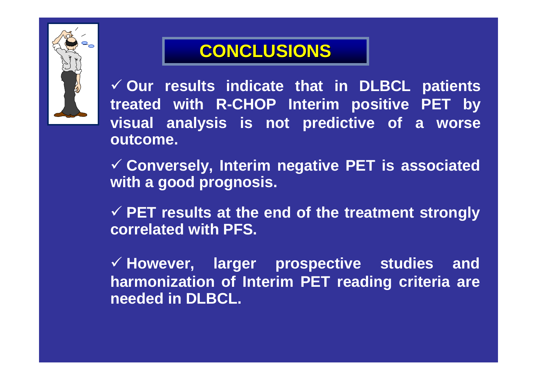

## **CONCLUSIONS**

 **Our results indicate that in DLBCL patients treated with R-CHOP Interim positive PET by visual analysis is not predictive of a worse outcome.**

 **Conversely, Interim negative PET is associated with a good prognosis.** 

**√ PET results at the end of the treatment strongly**<br>correlated with **PES correlated with PFS.**

 **However, larger prospective studies and harmonization of Interim PET reading criteria are needed in DLBCL.**